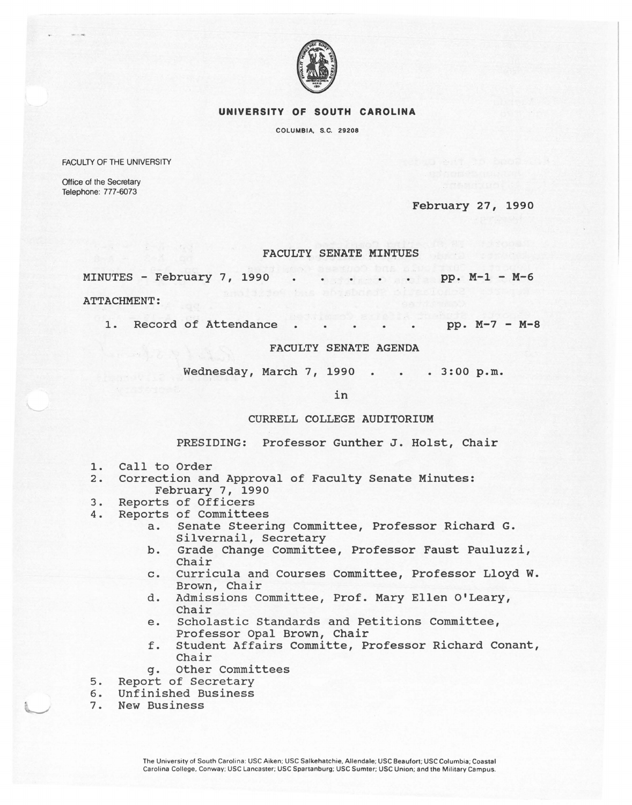

#### **UNIVERSITY OF SOUTH CAROLINA**

COLUMBIA, S.C. 29208

FACULTY OF THE UNIVERSITY

Office of the Secretary Telephone: 777-6073

February 27, 1990

# FACULTY SENATE MINTUES

MINUTES - February 7, 1990 pp. M-1 - M-6

ATTACHMENT:

1. Record of Attendance . . . . . pp. M-7 - M-8

### FACULTY SENATE AGENDA

Wednesday, March 7, 1990 . . . 3:00 p.m.

in

## CURRELL COLLEGE AUDITORIUM

PRESIDING: Professor Gunther J. Holst, Chair

- 1. Call to Order<br>2. Correction and
- 2. Correction and Approval of Faculty Senate Minutes: February 7, 1990
- 3. Reports of Officers
- 4. Reports of Committees
	- a. Senate Steering Committee, Professor Richard G. Silvernail, Secretary
	- b. Grade Change Committee, Professor Faust Pauluzzi, Chair
	- c. Curricula and Courses Committee, Professor Lloyd W. Brown, Chair
	- d. Admissions Committee, Prof. Mary Ellen O'Leary, Chair
	- e. Scholastic Standards and Petitions Committee, Professor Opal Brown, Chair
	- f. student Affairs Committe, Professor Richard Conant, Chair
	- g. Other Committees
- 5. Report of Secretary
- 6. Unfinished Business
- New Business